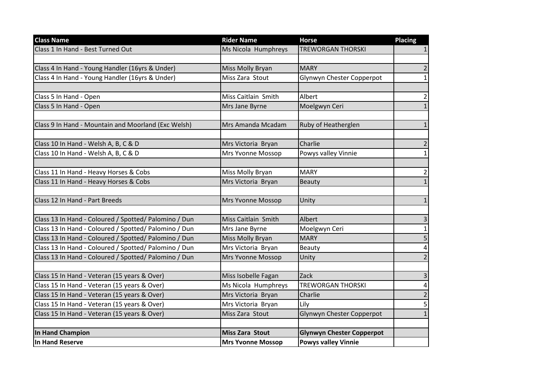| <b>Class Name</b>                                     | <b>Rider Name</b>        | <b>Horse</b>                     | <b>Placing</b>          |
|-------------------------------------------------------|--------------------------|----------------------------------|-------------------------|
| Class 1 In Hand - Best Turned Out                     | Ms Nicola Humphreys      | <b>TREWORGAN THORSKI</b>         | 1                       |
|                                                       |                          |                                  |                         |
| Class 4 In Hand - Young Handler (16yrs & Under)       | Miss Molly Bryan         | <b>MARY</b>                      | $\overline{\mathbf{c}}$ |
| Class 4 In Hand - Young Handler (16yrs & Under)       | Miss Zara Stout          | Glynwyn Chester Copperpot        | $\mathbf{1}$            |
|                                                       |                          |                                  |                         |
| Class 5 In Hand - Open                                | Miss Caitlain Smith      | Albert                           | $\overline{2}$          |
| Class 5 In Hand - Open                                | Mrs Jane Byrne           | Moelgwyn Ceri                    | 1                       |
|                                                       |                          |                                  |                         |
| Class 9 In Hand - Mountain and Moorland (Exc Welsh)   | Mrs Amanda Mcadam        | Ruby of Heatherglen              | $\mathbf{1}$            |
|                                                       |                          |                                  |                         |
| Class 10 In Hand - Welsh A, B, C & D                  | Mrs Victoria Bryan       | Charlie                          | $\overline{2}$          |
| Class 10 In Hand - Welsh A, B, C & D                  | Mrs Yvonne Mossop        | Powys valley Vinnie              | $\mathbf{1}$            |
|                                                       |                          |                                  |                         |
| Class 11 In Hand - Heavy Horses & Cobs                | Miss Molly Bryan         | <b>MARY</b>                      | $\overline{2}$          |
| Class 11 In Hand - Heavy Horses & Cobs                | Mrs Victoria Bryan       | <b>Beauty</b>                    | 1                       |
|                                                       |                          |                                  |                         |
| Class 12 In Hand - Part Breeds                        | Mrs Yvonne Mossop        | Unity                            | $\mathbf{1}$            |
|                                                       |                          |                                  |                         |
| Class 13 In Hand - Coloured / Spotted/ Palomino / Dun | Miss Caitlain Smith      | Albert                           | 3                       |
| Class 13 In Hand - Coloured / Spotted/ Palomino / Dun | Mrs Jane Byrne           | Moelgwyn Ceri                    | $\mathbf{1}$            |
| Class 13 In Hand - Coloured / Spotted/ Palomino / Dun | Miss Molly Bryan         | <b>MARY</b>                      | 5                       |
| Class 13 In Hand - Coloured / Spotted/ Palomino / Dun | Mrs Victoria Bryan       | Beauty                           | 4                       |
| Class 13 In Hand - Coloured / Spotted/ Palomino / Dun | Mrs Yvonne Mossop        | Unity                            | $\overline{2}$          |
|                                                       |                          |                                  |                         |
| Class 15 In Hand - Veteran (15 years & Over)          | Miss Isobelle Fagan      | Zack                             | 3                       |
| Class 15 In Hand - Veteran (15 years & Over)          | Ms Nicola Humphreys      | <b>TREWORGAN THORSKI</b>         | 4                       |
| Class 15 In Hand - Veteran (15 years & Over)          | Mrs Victoria Bryan       | Charlie                          | $\overline{2}$          |
| Class 15 In Hand - Veteran (15 years & Over)          | Mrs Victoria Bryan       | Lily                             | 5                       |
| Class 15 In Hand - Veteran (15 years & Over)          | Miss Zara Stout          | Glynwyn Chester Copperpot        | $\mathbf{1}$            |
|                                                       |                          |                                  |                         |
| <b>In Hand Champion</b>                               | <b>Miss Zara Stout</b>   | <b>Glynwyn Chester Copperpot</b> |                         |
| <b>In Hand Reserve</b>                                | <b>Mrs Yvonne Mossop</b> | <b>Powys valley Vinnie</b>       |                         |